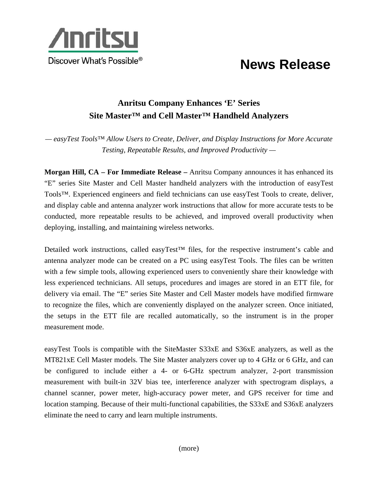

## **News Release**

## **Anritsu Company Enhances 'E' Series Site Master™ and Cell Master™ Handheld Analyzers**

*— easyTest Tools™ Allow Users to Create, Deliver, and Display Instructions for More Accurate Testing, Repeatable Results, and Improved Productivity —* 

**Morgan Hill, CA – For Immediate Release –** Anritsu Company announces it has enhanced its "E" series Site Master and Cell Master handheld analyzers with the introduction of easyTest Tools™. Experienced engineers and field technicians can use easyTest Tools to create, deliver, and display cable and antenna analyzer work instructions that allow for more accurate tests to be conducted, more repeatable results to be achieved, and improved overall productivity when deploying, installing, and maintaining wireless networks.

Detailed work instructions, called easyTest™ files, for the respective instrument's cable and antenna analyzer mode can be created on a PC using easyTest Tools. The files can be written with a few simple tools, allowing experienced users to conveniently share their knowledge with less experienced technicians. All setups, procedures and images are stored in an ETT file, for delivery via email. The "E" series Site Master and Cell Master models have modified firmware to recognize the files, which are conveniently displayed on the analyzer screen. Once initiated, the setups in the ETT file are recalled automatically, so the instrument is in the proper measurement mode.

easyTest Tools is compatible with the SiteMaster S33xE and S36xE analyzers, as well as the MT821xE Cell Master models. The Site Master analyzers cover up to 4 GHz or 6 GHz, and can be configured to include either a 4- or 6-GHz spectrum analyzer, 2-port transmission measurement with built-in 32V bias tee, interference analyzer with spectrogram displays, a channel scanner, power meter, high-accuracy power meter, and GPS receiver for time and location stamping. Because of their multi-functional capabilities, the S33xE and S36xE analyzers eliminate the need to carry and learn multiple instruments.